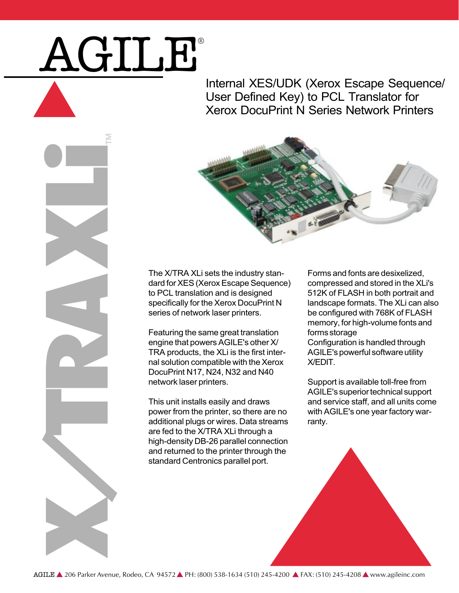## AGILE®

Internal XES/UDK (Xerox Escape Sequence/ User Defined Key) to PCL Translator for Xerox DocuPrint N Series Network Printers





The X/TRA XLi sets the industry standard for XES (Xerox Escape Sequence) to PCL translation and is designed specifically for the Xerox DocuPrint N series of network laser printers.

Featuring the same great translation engine that powers AGILE's other X/ TRA products, the XLi is the first internal solution compatible with the Xerox DocuPrint N17, N24, N32 and N40 network laser printers.

This unit installs easily and draws power from the printer, so there are no additional plugs or wires. Data streams are fed to the X/TRA XLi through a high-density DB-26 parallel connection and returned to the printer through the standard Centronics parallel port.

Forms and fonts are desixelized, compressed and stored in the XLi's 512K of FLASH in both portrait and landscape formats. The XLi can also be configured with 768K of FLASH memory, for high-volume fonts and forms storage Configuration is handled through AGILE's powerful software utility X/EDIT.

Support is available toll-free from AGILE's superior technical support and service staff, and all units come with AGILE's one year factory warranty.